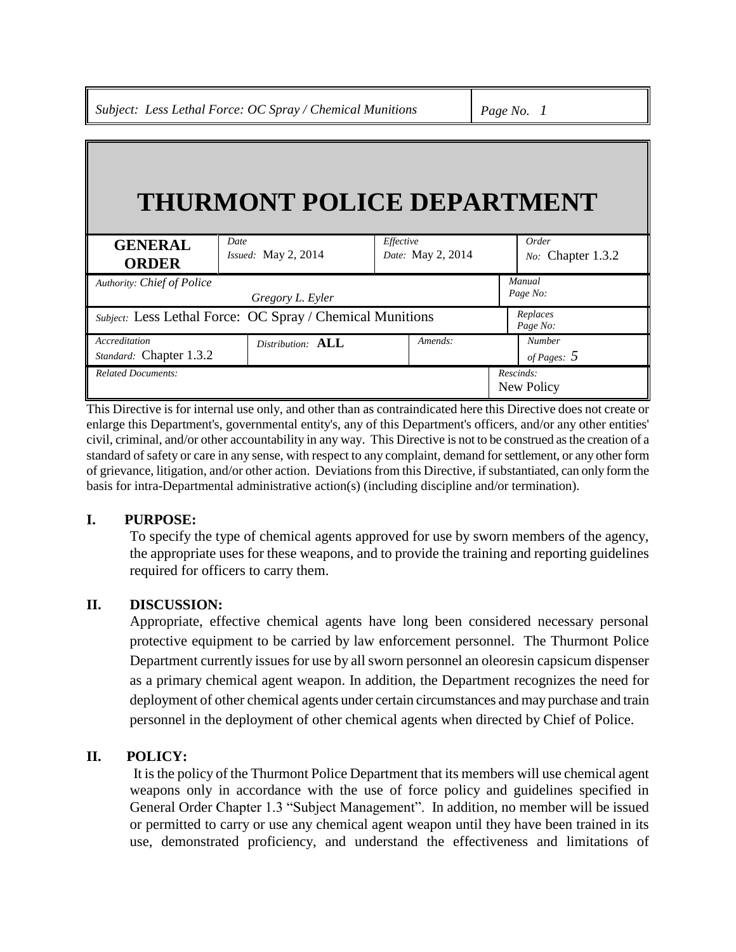*Subject: Less Lethal Force: OC Spray / Chemical Munitions Page No. 1*

# **THURMONT POLICE DEPARTMENT**

| <b>GENERAL</b><br><b>ORDER</b>                            | Date<br><i>Issued:</i> May $2$ , $2014$ | Effective<br>Date: May 2, 2014 |  | Order<br>No: Chapter 1.3.2     |
|-----------------------------------------------------------|-----------------------------------------|--------------------------------|--|--------------------------------|
| Authority: Chief of Police<br>Gregory L. Eyler            |                                         |                                |  | Manual<br>Page No:             |
| Subject: Less Lethal Force: OC Spray / Chemical Munitions |                                         |                                |  | Replaces<br>Page No:           |
| Accreditation<br>Standard: Chapter 1.3.2                  | Distribution: <b>ALL</b>                | Amends:                        |  | <b>Number</b><br>of Pages: $5$ |
| <b>Related Documents:</b>                                 |                                         |                                |  | Rescinds:<br>New Policy        |

This Directive is for internal use only, and other than as contraindicated here this Directive does not create or enlarge this Department's, governmental entity's, any of this Department's officers, and/or any other entities' civil, criminal, and/or other accountability in any way. This Directive is not to be construed as the creation of a standard of safety or care in any sense, with respect to any complaint, demand for settlement, or any other form of grievance, litigation, and/or other action. Deviations from this Directive, if substantiated, can only form the basis for intra-Departmental administrative action(s) (including discipline and/or termination).

## **I. PURPOSE:**

To specify the type of chemical agents approved for use by sworn members of the agency, the appropriate uses for these weapons, and to provide the training and reporting guidelines required for officers to carry them.

## **II. DISCUSSION:**

Appropriate, effective chemical agents have long been considered necessary personal protective equipment to be carried by law enforcement personnel. The Thurmont Police Department currently issues for use by all sworn personnel an oleoresin capsicum dispenser as a primary chemical agent weapon. In addition, the Department recognizes the need for deployment of other chemical agents under certain circumstances and may purchase and train personnel in the deployment of other chemical agents when directed by Chief of Police.

## **II. POLICY:**

It is the policy of the Thurmont Police Department that its members will use chemical agent weapons only in accordance with the use of force policy and guidelines specified in General Order Chapter 1.3 "Subject Management". In addition, no member will be issued or permitted to carry or use any chemical agent weapon until they have been trained in its use, demonstrated proficiency, and understand the effectiveness and limitations of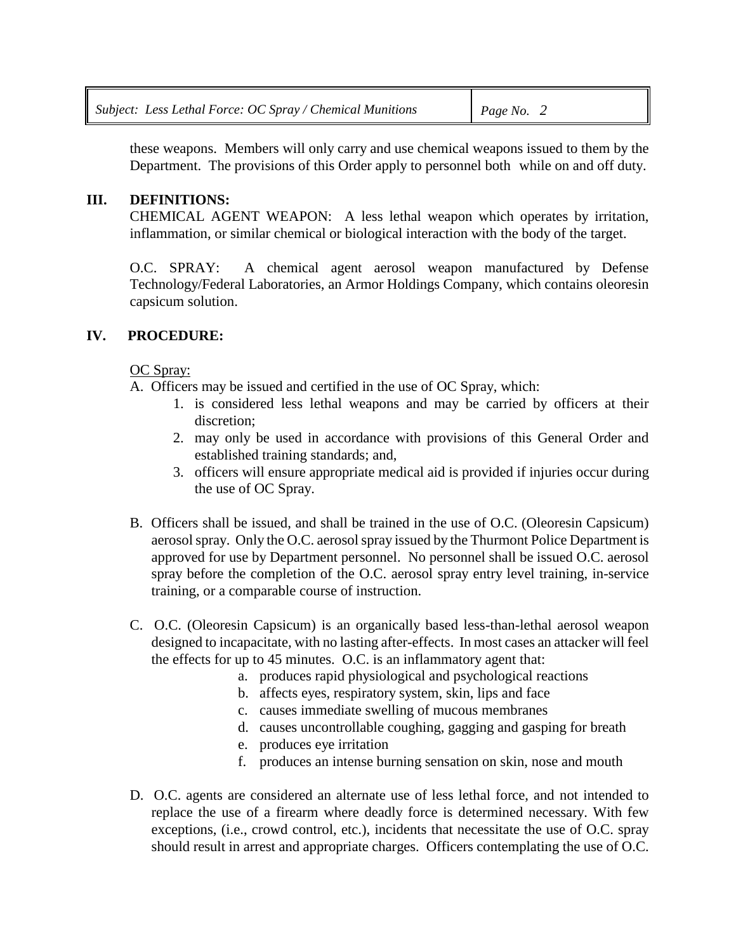these weapons. Members will only carry and use chemical weapons issued to them by the Department. The provisions of this Order apply to personnel both while on and off duty.

## **III. DEFINITIONS:**

CHEMICAL AGENT WEAPON: A less lethal weapon which operates by irritation, inflammation, or similar chemical or biological interaction with the body of the target.

O.C. SPRAY: A chemical agent aerosol weapon manufactured by Defense Technology/Federal Laboratories, an Armor Holdings Company, which contains oleoresin capsicum solution.

## **IV. PROCEDURE:**

## OC Spray:

A. Officers may be issued and certified in the use of OC Spray, which:

- 1. is considered less lethal weapons and may be carried by officers at their discretion;
- 2. may only be used in accordance with provisions of this General Order and established training standards; and,
- 3. officers will ensure appropriate medical aid is provided if injuries occur during the use of OC Spray.
- B. Officers shall be issued, and shall be trained in the use of O.C. (Oleoresin Capsicum) aerosol spray. Only the O.C. aerosol spray issued by the Thurmont Police Department is approved for use by Department personnel. No personnel shall be issued O.C. aerosol spray before the completion of the O.C. aerosol spray entry level training, in-service training, or a comparable course of instruction.
- C. O.C. (Oleoresin Capsicum) is an organically based less-than-lethal aerosol weapon designed to incapacitate, with no lasting after-effects. In most cases an attacker will feel the effects for up to 45 minutes. O.C. is an inflammatory agent that:
	- a. produces rapid physiological and psychological reactions
	- b. affects eyes, respiratory system, skin, lips and face
	- c. causes immediate swelling of mucous membranes
	- d. causes uncontrollable coughing, gagging and gasping for breath
	- e. produces eye irritation
	- f. produces an intense burning sensation on skin, nose and mouth
- D. O.C. agents are considered an alternate use of less lethal force, and not intended to replace the use of a firearm where deadly force is determined necessary. With few exceptions, (i.e., crowd control, etc.), incidents that necessitate the use of O.C. spray should result in arrest and appropriate charges. Officers contemplating the use of O.C.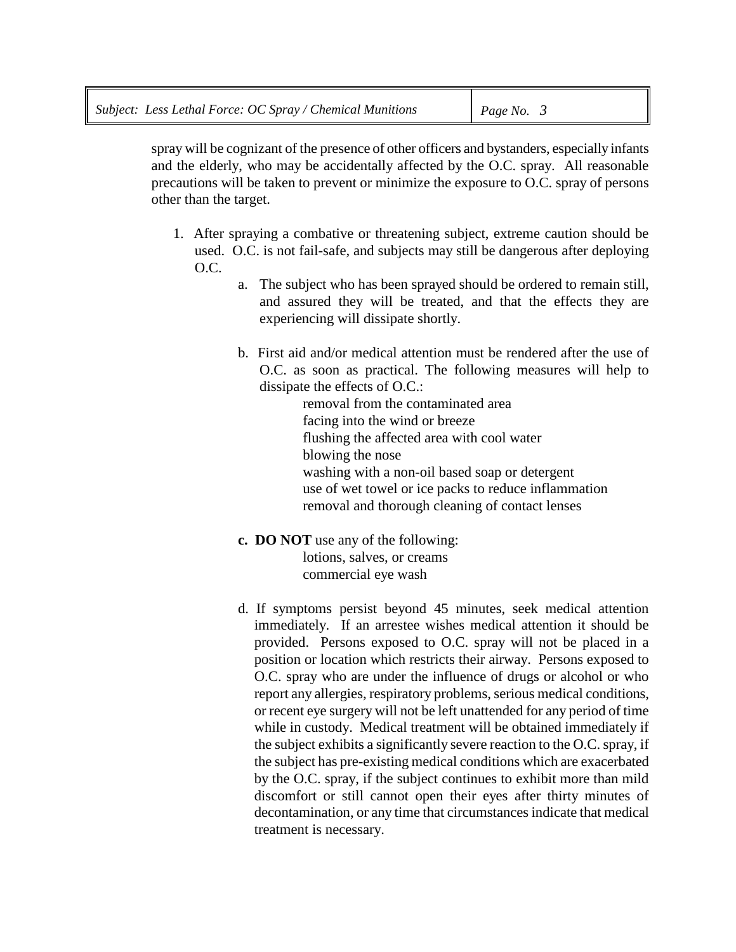spray will be cognizant of the presence of other officers and bystanders, especially infants and the elderly, who may be accidentally affected by the O.C. spray. All reasonable precautions will be taken to prevent or minimize the exposure to O.C. spray of persons other than the target.

- 1. After spraying a combative or threatening subject, extreme caution should be used. O.C. is not fail-safe, and subjects may still be dangerous after deploying O.C.
	- a. The subject who has been sprayed should be ordered to remain still, and assured they will be treated, and that the effects they are experiencing will dissipate shortly.
	- b. First aid and/or medical attention must be rendered after the use of O.C. as soon as practical. The following measures will help to dissipate the effects of O.C.:

removal from the contaminated area facing into the wind or breeze flushing the affected area with cool water blowing the nose washing with a non-oil based soap or detergent use of wet towel or ice packs to reduce inflammation removal and thorough cleaning of contact lenses

- **c. DO NOT** use any of the following: lotions, salves, or creams commercial eye wash
- d. If symptoms persist beyond 45 minutes, seek medical attention immediately. If an arrestee wishes medical attention it should be provided. Persons exposed to O.C. spray will not be placed in a position or location which restricts their airway. Persons exposed to O.C. spray who are under the influence of drugs or alcohol or who report any allergies, respiratory problems, serious medical conditions, or recent eye surgery will not be left unattended for any period of time while in custody. Medical treatment will be obtained immediately if the subject exhibits a significantly severe reaction to the O.C. spray, if the subject has pre-existing medical conditions which are exacerbated by the O.C. spray, if the subject continues to exhibit more than mild discomfort or still cannot open their eyes after thirty minutes of decontamination, or any time that circumstances indicate that medical treatment is necessary.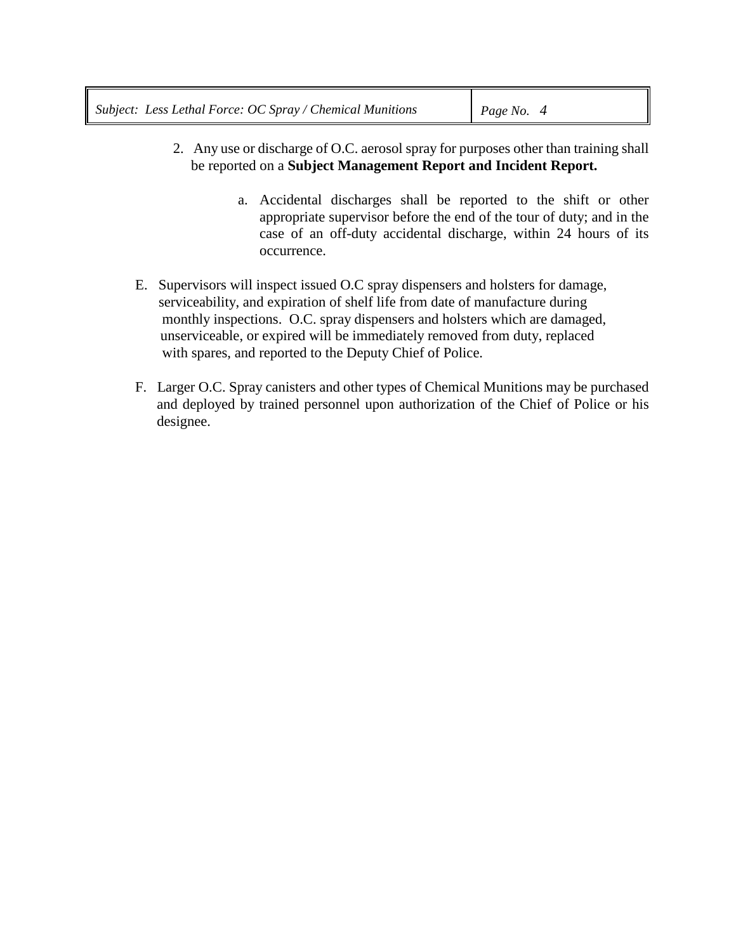- 2. Any use or discharge of O.C. aerosol spray for purposes other than training shall be reported on a **Subject Management Report and Incident Report.**
	- a. Accidental discharges shall be reported to the shift or other appropriate supervisor before the end of the tour of duty; and in the case of an off-duty accidental discharge, within 24 hours of its occurrence.
- E. Supervisors will inspect issued O.C spray dispensers and holsters for damage, serviceability, and expiration of shelf life from date of manufacture during monthly inspections. O.C. spray dispensers and holsters which are damaged, unserviceable, or expired will be immediately removed from duty, replaced with spares, and reported to the Deputy Chief of Police.
- F. Larger O.C. Spray canisters and other types of Chemical Munitions may be purchased and deployed by trained personnel upon authorization of the Chief of Police or his designee.